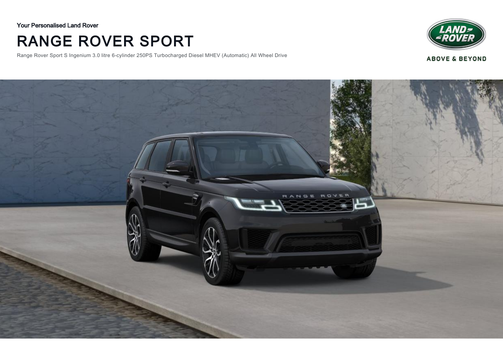Your Personalised Land Rover



Range Rover Sport S Ingenium 3.0 litre 6-cylinder 250PS Turbocharged Diesel MHEV (Automatic) All Wheel Drive





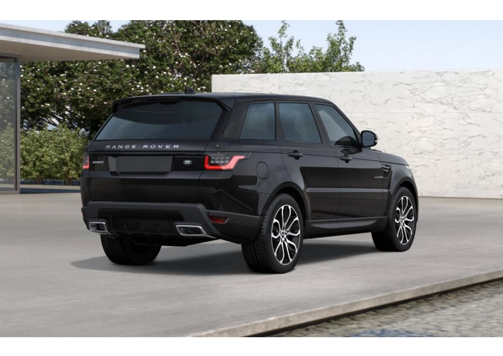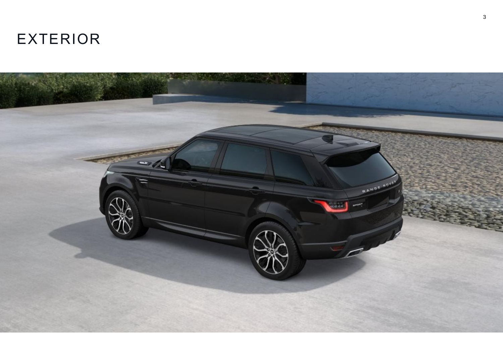

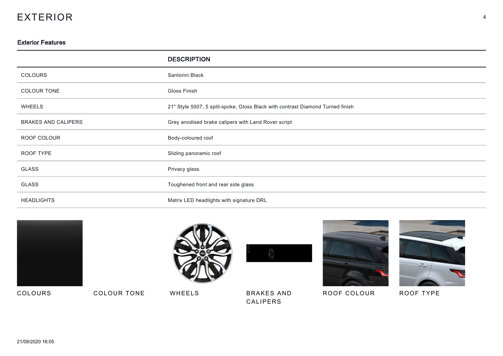### EXTERIOR 4

### Exterior Features

|                            | <b>DESCRIPTION</b>                                                             |
|----------------------------|--------------------------------------------------------------------------------|
| <b>COLOURS</b>             | Santorini Black                                                                |
| <b>COLOUR TONE</b>         | Gloss Finish                                                                   |
| <b>WHEELS</b>              | 21" Style 5007, 5 split-spoke, Gloss Black with contrast Diamond Turned finish |
| <b>BRAKES AND CALIPERS</b> | Grey anodised brake calipers with Land Rover script                            |
| ROOF COLOUR                | Body-coloured roof                                                             |
| ROOF TYPE                  | Sliding panoramic roof                                                         |
| <b>GLASS</b>               | Privacy glass                                                                  |
| GLASS                      | Toughened front and rear side glass                                            |
| <b>HEADLIGHTS</b>          | Matrix LED headlights with signature DRL                                       |









ROOF COLOUR ROOF TYPE



COLOURS COLOUR TONE WHEELS BRAKES AND CALIPERS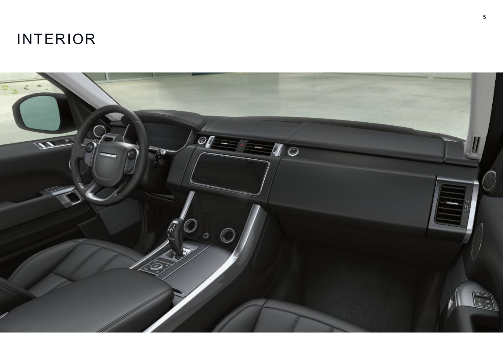## INTERIOR

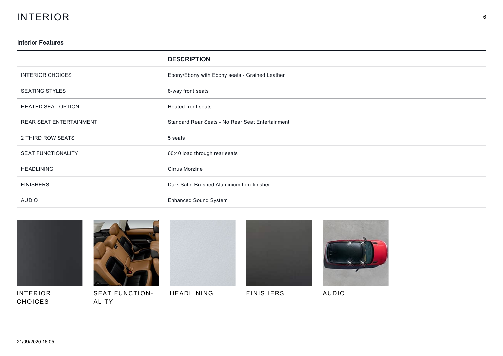### INTERIOR <sup>6</sup>

#### Interior Features

|                                | <b>DESCRIPTION</b>                               |
|--------------------------------|--------------------------------------------------|
| <b>INTERIOR CHOICES</b>        | Ebony/Ebony with Ebony seats - Grained Leather   |
| <b>SEATING STYLES</b>          | 8-way front seats                                |
| HEATED SEAT OPTION             | Heated front seats                               |
| <b>REAR SEAT ENTERTAINMENT</b> | Standard Rear Seats - No Rear Seat Entertainment |
| 2 THIRD ROW SEATS              | 5 seats                                          |
| SEAT FUNCTIONALITY             | 60:40 load through rear seats                    |
| <b>HEADLINING</b>              | Cirrus Morzine                                   |
| <b>FINISHERS</b>               | Dark Satin Brushed Aluminium trim finisher       |
| <b>AUDIO</b>                   | <b>Enhanced Sound System</b>                     |



INTERIOR CHOICES



SEAT FUNCTION-ALITY



HEADLINING FINISHERS AUDIO





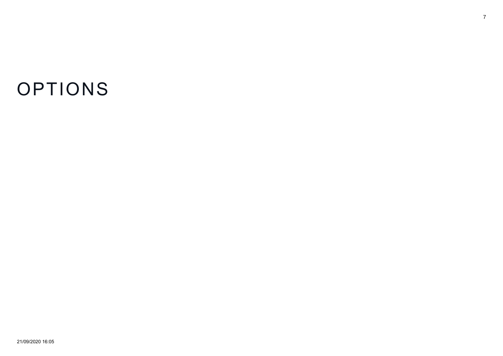## OPTIONS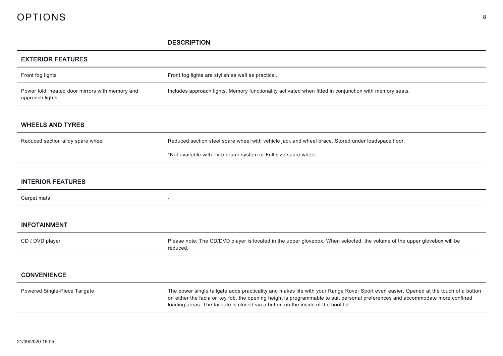#### **DESCRIPTION**

### EXTERIOR FEATURES Front fog lights Front fog lights are stylish as well as practical. Power fold, heated door mirrors with memory and Includes approach lights. Memory functionality activated when fitted in conjunction with memory seats.

### WHEELS AND TYRES

approach lights

| Reduced section alloy spare wheel | Reduced section steel spare wheel with vehicle jack and wheel brace. Stored under loadspace floor. |
|-----------------------------------|----------------------------------------------------------------------------------------------------|
|                                   | *Not available with Tyre repair system or Full size spare wheel.                                   |

#### INTERIOR FEATURES

| Carpet mats |  |
|-------------|--|
|             |  |

#### INFOTAINMENT

CD / DVD player **Please note: The CD/DVD player is located in the upper glovebox.** When selected, the volume of the upper glovebox will be reduced.

#### **CONVENIENCE**

| Powered Single-Piece Tailgate | The power single tailgate adds practicality and makes life with your Range Rover Sport even easier. Opened at the touch of a button<br>on either the facia or key fob, the opening height is programmable to suit personal preferences and accommodate more confined<br>loading areas. The tailgate is closed via a button on the inside of the boot lid. |
|-------------------------------|-----------------------------------------------------------------------------------------------------------------------------------------------------------------------------------------------------------------------------------------------------------------------------------------------------------------------------------------------------------|
|                               |                                                                                                                                                                                                                                                                                                                                                           |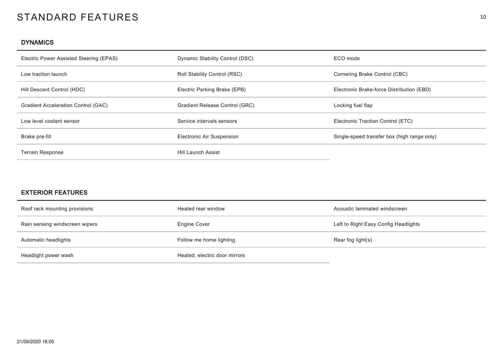### DYNAMICS

| Electric Power Assisted Steering (EPAS)    | Dynamic Stability Control (DSC) | ECO mode                                    |
|--------------------------------------------|---------------------------------|---------------------------------------------|
| Low traction launch                        | Roll Stability Control (RSC)    | Cornering Brake Control (CBC)               |
| Hill Descent Control (HDC)                 | Electric Parking Brake (EPB)    | Electronic Brake-force Distribution (EBD)   |
| <b>Gradient Acceleration Control (GAC)</b> | Gradient Release Control (GRC)  | Locking fuel flap                           |
| Low level coolant sensor                   | Service intervals sensors       | Electronic Traction Control (ETC)           |
| Brake pre-fill                             | Electronic Air Suspension       | Single-speed transfer box (high range only) |
| <b>Terrain Response</b>                    | <b>Hill Launch Assist</b>       |                                             |

### EXTERIOR FEATURES

| Roof rack mounting provisions  | Heated rear window            | Acoustic laminated windscreen        |
|--------------------------------|-------------------------------|--------------------------------------|
| Rain sensing windscreen wipers | Engine Cover                  | Left to Right Easy Config Headlights |
| Automatic headlights           | Follow me home lighting       | Rear fog light(s)                    |
| Headlight power wash           | Heated, electric door mirrors |                                      |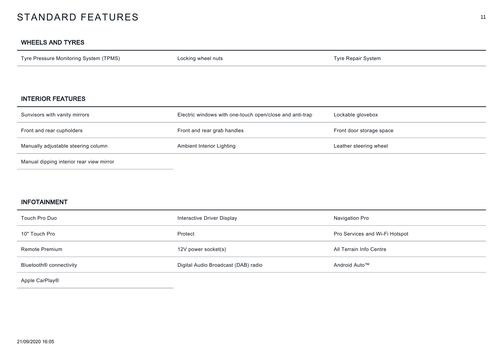### WHEELS AND TYRES

| Tyre Pressure Monitoring System (TPMS) | Locking wheel nuts | Tyre Repair System |
|----------------------------------------|--------------------|--------------------|
|                                        |                    |                    |

### INTERIOR FEATURES

| Sunvisors with vanity mirrors            | Electric windows with one-touch open/close and anti-trap | Lockable glovebox        |
|------------------------------------------|----------------------------------------------------------|--------------------------|
| Front and rear cupholders                | Front and rear grab handles                              | Front door storage space |
| Manually adjustable steering column      | Ambient Interior Lighting                                | Leather steering wheel   |
| Manual dipping interior rear view mirror |                                                          |                          |

### INFOTAINMENT

| Touch Pro Duo                       | Interactive Driver Display          | Navigation Pro                 |
|-------------------------------------|-------------------------------------|--------------------------------|
| 10" Touch Pro                       | Protect                             | Pro Services and Wi-Fi Hotspot |
| Remote Premium                      | 12V power socket(s)                 | All Terrain Info Centre        |
| Bluetooth <sup>®</sup> connectivity | Digital Audio Broadcast (DAB) radio | Android Auto™                  |

Apple CarPlay®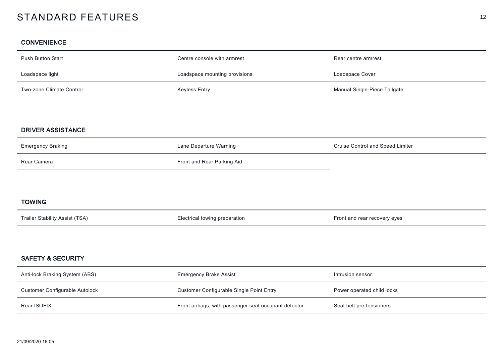### **CONVENIENCE**

| <b>Push Button Start</b> | Centre console with armrest   | Rear centre armrest          |
|--------------------------|-------------------------------|------------------------------|
| Loadspace light          | Loadspace mounting provisions | Loadspace Cover              |
| Two-zone Climate Control | Keyless Entry                 | Manual Single-Piece Tailgate |

### DRIVER ASSISTANCE

| Emergency Braking | Lane Departure Warning     | Cruise Control and Speed Limiter |
|-------------------|----------------------------|----------------------------------|
| Rear Camera       | Front and Rear Parking Aid |                                  |

### TOWING

| Trailer Stability Assist (TSA) | Electrical towing preparation | Front and rear recovery eyes |
|--------------------------------|-------------------------------|------------------------------|
|                                |                               |                              |

### SAFETY & SECURITY

| Anti-lock Braking System (ABS) | Emergency Brake Assist                               | Intrusion sensor           |
|--------------------------------|------------------------------------------------------|----------------------------|
| Customer Configurable Autolock | Customer Configurable Single Point Entry             | Power operated child locks |
| Rear ISOFIX                    | Front airbags, with passenger seat occupant detector | Seat belt pre-tensioners   |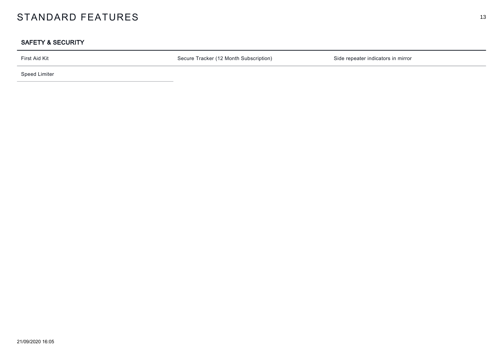#### SAFETY & SECURITY

First Aid Kit **Secure Tracker (12 Month Subscription)** Side repeater indicators in mirror

Speed Limiter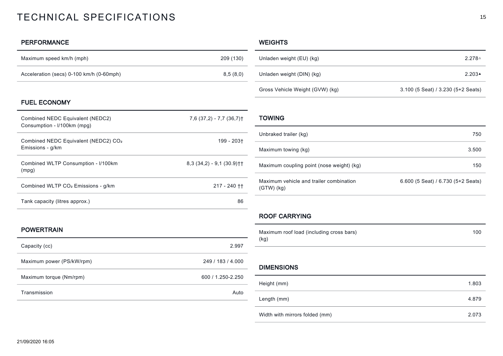| <b>PERFORMANCE</b>                                              |                             | <b>WEIGHTS</b>                                          |                                    |
|-----------------------------------------------------------------|-----------------------------|---------------------------------------------------------|------------------------------------|
| Maximum speed km/h (mph)                                        | 209 (130)                   | Unladen weight (EU) (kg)                                | $2.278 \triangle$                  |
| Acceleration (secs) 0-100 km/h (0-60mph)                        | 8,5(8,0)                    | Unladen weight (DIN) (kg)                               | 2.203▲                             |
|                                                                 |                             | Gross Vehicle Weight (GVW) (kg)                         | 3.100 (5 Seat) / 3.230 (5+2 Seats) |
| <b>FUEL ECONOMY</b>                                             |                             |                                                         |                                    |
| Combined NEDC Equivalent (NEDC2)<br>Consumption - I/100km (mpg) | $7,6(37,2) - 7,7(36,7)$     | <b>TOWING</b>                                           |                                    |
| Combined NEDC Equivalent (NEDC2) CO2                            | 199 - 203†                  | Unbraked trailer (kg)                                   | 750                                |
| Emissions - g/km                                                |                             | Maximum towing (kg)                                     | 3.500                              |
| Combined WLTP Consumption - I/100km<br>(mpg)                    | $8,3(34,2) - 9,1(30.9)$ † † | Maximum coupling point (nose weight) (kg)               | 150                                |
| Combined WLTP CO <sub>2</sub> Emissions - g/km                  | 217 - 240 ††                | Maximum vehicle and trailer combination<br>$(GTW)$ (kg) | 6.600 (5 Seat) / 6.730 (5+2 Seats) |
| Tank capacity (litres approx.)                                  | 86                          |                                                         |                                    |
|                                                                 |                             | <b>ROOF CARRYING</b>                                    |                                    |
| <b>POWERTRAIN</b>                                               |                             | Maximum roof load (including cross bars)                | 100                                |
| Capacity (cc)                                                   | 2.997                       | (kg)                                                    |                                    |
| Maximum power (PS/kW/rpm)                                       | 249 / 183 / 4.000           | <b>DIMENSIONS</b>                                       |                                    |
| Maximum torque (Nm/rpm)                                         | 600 / 1.250-2.250           | Height (mm)                                             | 1.803                              |
| Transmission                                                    | Auto                        |                                                         |                                    |
|                                                                 |                             | Length (mm)                                             | 4.879                              |
|                                                                 |                             | Width with mirrors folded (mm)                          | 2.073                              |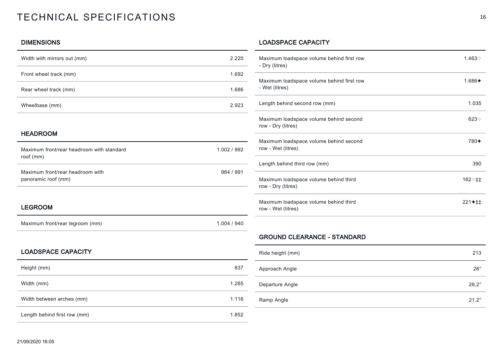Length behind first row (mm) 1.852

### DIMENSIONS

| Width with mirrors out (mm)                             | 2.220       | Maximum loadspace volume behind first row<br>- Dry (litres)  | 1.463 $\diamond$ |
|---------------------------------------------------------|-------------|--------------------------------------------------------------|------------------|
| Front wheel track (mm)                                  | 1.692       |                                                              |                  |
| Rear wheel track (mm)                                   | 1.686       | Maximum loadspace volume behind first row<br>- Wet (litres)  | 1.686+           |
| Wheelbase (mm)                                          | 2.923       | Length behind second row (mm)                                | 1.035            |
|                                                         |             | Maximum loadspace volume behind second<br>row - Dry (litres) | $623\diamond$    |
| <b>HEADROOM</b>                                         |             | Maximum loadspace volume behind second                       | 780+             |
| Maximum front/rear headroom with standard<br>roof (mm)  | 1.002 / 992 | row - Wet (litres)                                           |                  |
|                                                         |             | Length behind third row (mm)                                 | 390              |
| Maximum front/rear headroom with<br>panoramic roof (mm) | 984 / 991   | Maximum loadspace volume behind third<br>row - Dry (litres)  | 162 √‡‡          |
| <b>LEGROOM</b>                                          |             | Maximum loadspace volume behind third<br>row - Wet (litres)  | $221 + 11$       |
| Maximum front/rear legroom (mm)                         | 1.004 / 940 |                                                              |                  |
|                                                         |             | <b>GROUND CLEARANCE - STANDARD</b>                           |                  |
| <b>LOADSPACE CAPACITY</b>                               |             | Ride height (mm)                                             | 213              |
| Height (mm)                                             | 837         | Approach Angle                                               | $26^{\circ}$     |
| Width (mm)                                              | 1.285       | Departure Angle                                              | $26,2^\circ$     |
| Width between arches (mm)                               | 1.116       | Ramp Angle                                                   | $21,2^{\circ}$   |

LOADSPACE CAPACITY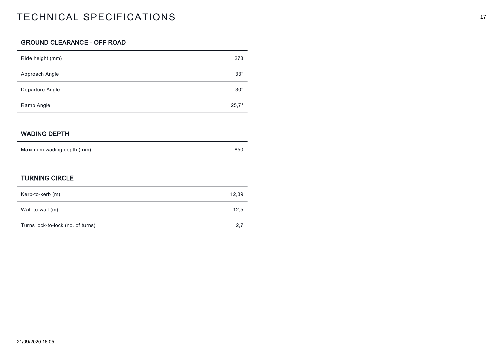#### GROUND CLEARANCE - OFF ROAD

| Ride height (mm) | 278            |
|------------------|----------------|
| Approach Angle   | $33^\circ$     |
| Departure Angle  | $30^{\circ}$   |
| Ramp Angle       | $25,7^{\circ}$ |

#### WADING DEPTH

| Maximum wading depth (mm) | 850 |
|---------------------------|-----|
|                           |     |

#### TURNING CIRCLE

| Kerb-to-kerb (m)                  | 12,39 |
|-----------------------------------|-------|
| Wall-to-wall (m)                  | 12,5  |
| Turns lock-to-lock (no. of turns) | 2.7   |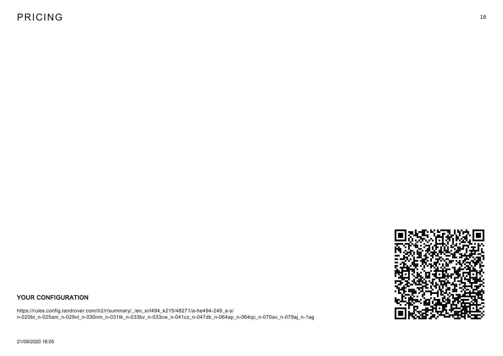PRICING THE RESERVE THAT THE RESERVE THAT THE RESERVE THAT THE RESERVE THAT THE RESERVE THAT THE RESERVE THAT THE RESERVE THAT THE RESERVE THAT THE RESERVE THAT THE RESERVE THAT THE RESERVE THAT THE RESERVE THAT THE RESERV



### YOUR CONFIGURATION

https://rules.config.landrover.com/lr2/r/summary/\_/en\_xi/l494\_k215/48271/a-he494-249\_a-s/ [n-020bt\\_n-025am\\_n-029vt\\_n-030nm\\_n-031tk\\_n-033bv\\_n-033cw\\_n-041cz\\_n-047db\\_n-064ap\\_n-064qc\\_n-070av\\_n-079aj\\_n-1ag](https://rules.config.landrover.com/lr2/r/summary/_/en_xi/l494_k215/48271/a-he494-249_a-s/n-020bt_n-025am_n-029vt_n-030nm_n-031tk_n-033bv_n-033cw_n-041cz_n-047db_n-064ap_n-064qc_n-070av_n-079aj_n-1ag)

21/09/2020 16:05